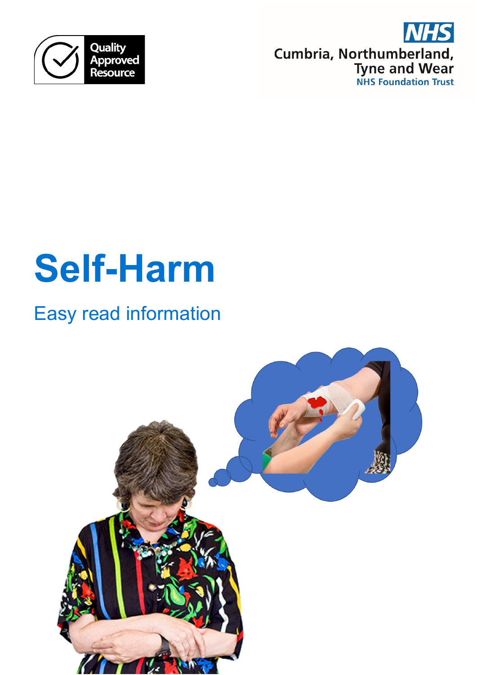

Cumbria, Northumberland, **Tyne and Wear**<br>NHS Foundation Trust

# **Self-Harm**

# Easy read information

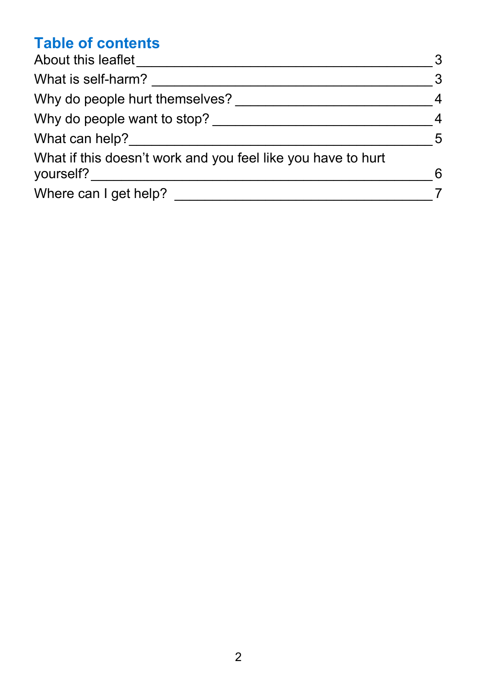## **Table of contents**

| About this leaflet<br>What is self-harm?<br>Why do people hurt themselves?<br>Why do people want to stop?<br>What can help?<br>What if this doesn't work and you feel like you have to hurt<br>yourself? | 3<br>3<br>$\overline{4}$<br>$\overline{4}$<br>$\overline{5}$<br>6 |                       |  |
|----------------------------------------------------------------------------------------------------------------------------------------------------------------------------------------------------------|-------------------------------------------------------------------|-----------------------|--|
|                                                                                                                                                                                                          |                                                                   | Where can I get help? |  |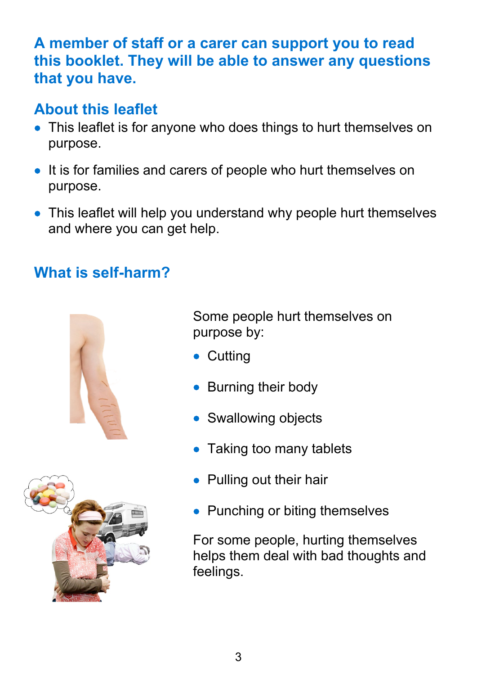#### **A member of staff or a carer can support you to read this booklet. They will be able to answer any questions that you have.**

#### <span id="page-2-0"></span>**About this leaflet**

- This leaflet is for anyone who does things to hurt themselves on purpose.
- It is for families and carers of people who hurt themselves on purpose.
- This leaflet will help you understand why people hurt themselves and where you can get help.

### <span id="page-2-1"></span>**What is self-harm?**





Some people hurt themselves on purpose by:

- Cutting
- Burning their body
- Swallowing objects
- Taking too many tablets
- Pulling out their hair
- Punching or biting themselves

For some people, hurting themselves helps them deal with bad thoughts and feelings.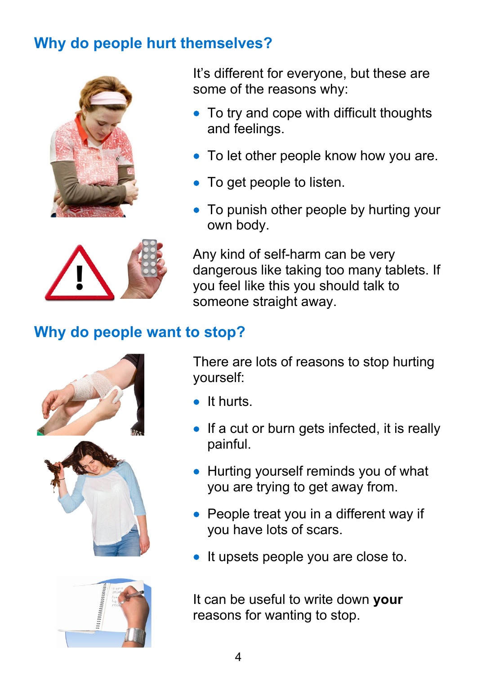#### <span id="page-3-0"></span>**Why do people hurt themselves?**



It's different for everyone, but these are some of the reasons why:

- To try and cope with difficult thoughts and feelings.
- To let other people know how you are.
- To get people to listen.
- To punish other people by hurting your own body.



Any kind of self-harm can be very dangerous like taking too many tablets. If you feel like this you should talk to someone straight away.

#### <span id="page-3-1"></span>**Why do people want to stop?**







There are lots of reasons to stop hurting yourself:

- It hurts.
- If a cut or burn gets infected, it is really painful.
- Hurting yourself reminds you of what you are trying to get away from.
- People treat you in a different way if you have lots of scars.
- It upsets people you are close to.

It can be useful to write down **your** reasons for wanting to stop.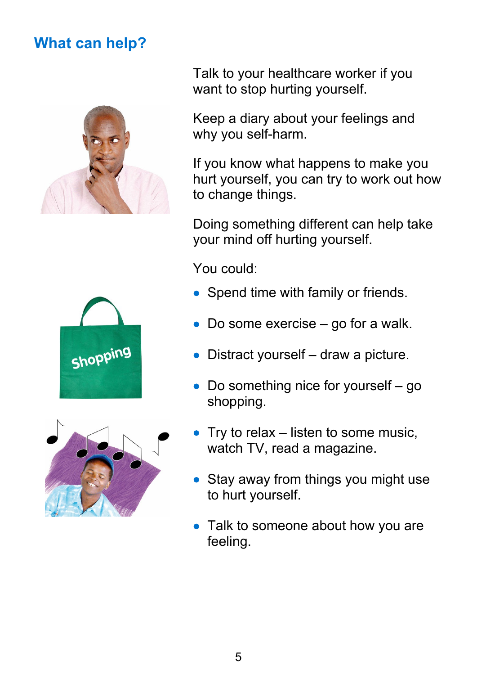#### <span id="page-4-0"></span>**What can help?**







Talk to your healthcare worker if you want to stop hurting yourself.

Keep a diary about your feelings and why you self-harm.

If you know what happens to make you hurt yourself, you can try to work out how to change things.

Doing something different can help take your mind off hurting yourself.

You could:

- Spend time with family or friends.
- Do some exercise go for a walk.
- Distract yourself draw a picture.
- Do something nice for yourself go shopping.
- Try to relax listen to some music, watch TV, read a magazine.
- Stay away from things you might use to hurt yourself.
- Talk to someone about how you are feeling.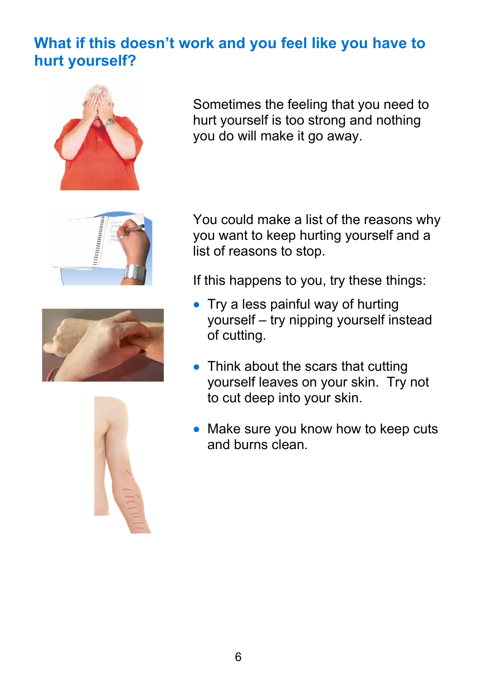#### <span id="page-5-0"></span>**What if this doesn't work and you feel like you have to hurt yourself?**



Sometimes the feeling that you need to hurt yourself is too strong and nothing you do will make it go away.







You could make a list of the reasons why you want to keep hurting yourself and a list of reasons to stop.

If this happens to you, try these things:

- Try a less painful way of hurting yourself – try nipping yourself instead of cutting.
- Think about the scars that cutting yourself leaves on your skin. Try not to cut deep into your skin.
- Make sure you know how to keep cuts and burns clean.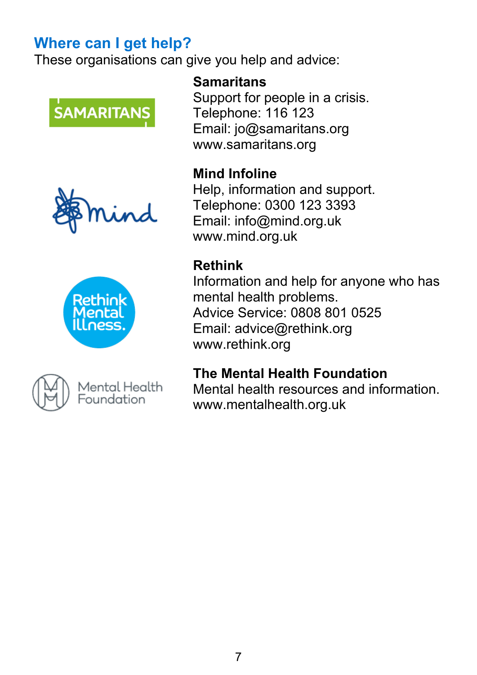#### <span id="page-6-0"></span>**Where can I get help?**

These organisations can give you help and advice:









Mental Health Foundation

#### **Samaritans**

Support for people in a crisis. Telephone: 116 123 Email: jo@samaritans.org www.samaritans.org

#### **Mind Infoline**

Help, information and support. Telephone: 0300 123 3393 Email: info@mind.org.uk www.mind.org.uk

#### **Rethink**

Information and help for anyone who has mental health problems. Advice Service: 0808 801 0525 Email: advice@rethink.org www.rethink.org

#### **The Mental Health Foundation**

Mental health resources and information. www.mentalhealth.org.uk